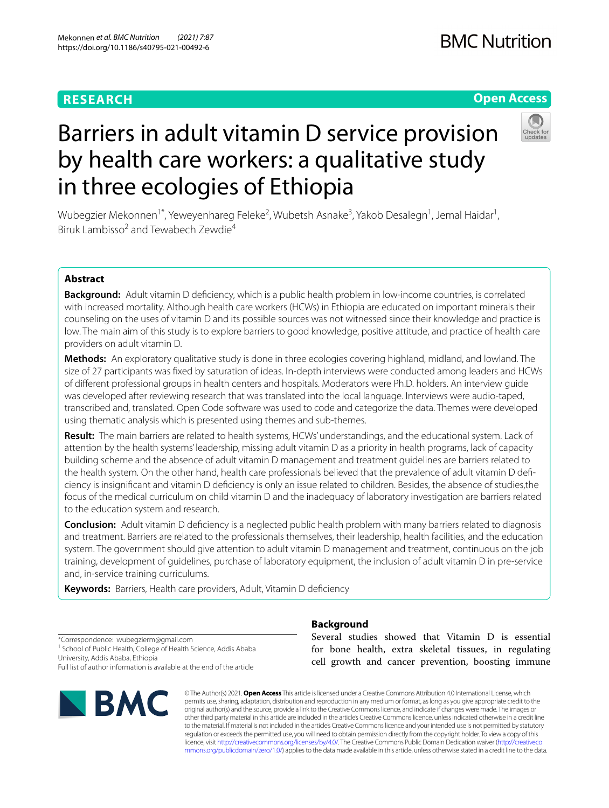# **RESEARCH**

## **Open Access**



# Barriers in adult vitamin D service provision by health care workers: a qualitative study in three ecologies of Ethiopia

Wubegzier Mekonnen<sup>1\*</sup>, Yeweyenhareg Feleke<sup>2</sup>, Wubetsh Asnake<sup>3</sup>, Yakob Desalegn<sup>1</sup>, Jemal Haidar<sup>1</sup>, Biruk Lambisso<sup>2</sup> and Tewabech Zewdie<sup>4</sup>

### **Abstract**

**Background:** Adult vitamin D defciency, which is a public health problem in low-income countries, is correlated with increased mortality. Although health care workers (HCWs) in Ethiopia are educated on important minerals their counseling on the uses of vitamin D and its possible sources was not witnessed since their knowledge and practice is low. The main aim of this study is to explore barriers to good knowledge, positive attitude, and practice of health care providers on adult vitamin D.

**Methods:** An exploratory qualitative study is done in three ecologies covering highland, midland, and lowland. The size of 27 participants was fxed by saturation of ideas. In-depth interviews were conducted among leaders and HCWs of diferent professional groups in health centers and hospitals. Moderators were Ph.D. holders. An interview guide was developed after reviewing research that was translated into the local language. Interviews were audio-taped, transcribed and, translated. Open Code software was used to code and categorize the data. Themes were developed using thematic analysis which is presented using themes and sub-themes.

**Result:** The main barriers are related to health systems, HCWs' understandings, and the educational system. Lack of attention by the health systems' leadership, missing adult vitamin D as a priority in health programs, lack of capacity building scheme and the absence of adult vitamin D management and treatment guidelines are barriers related to the health system*.* On the other hand, health care professionals believed that the prevalence of adult vitamin D defciency is insignifcant and vitamin D defciency is only an issue related to children. Besides, the absence of studies,the focus of the medical curriculum on child vitamin D and the inadequacy of laboratory investigation are barriers related to the education system and research.

**Conclusion:** Adult vitamin D defciency is a neglected public health problem with many barriers related to diagnosis and treatment. Barriers are related to the professionals themselves, their leadership, health facilities, and the education system. The government should give attention to adult vitamin D management and treatment, continuous on the job training, development of guidelines, purchase of laboratory equipment, the inclusion of adult vitamin D in pre-service and, in-service training curriculums.

Keywords: Barriers, Health care providers, Adult, Vitamin D deficiency

**Background**

\*Correspondence: wubegzierm@gmail.com <sup>1</sup> School of Public Health, College of Health Science, Addis Ababa University, Addis Ababa, Ethiopia Full list of author information is available at the end of the article



Several studies showed that Vitamin D is essential for bone health, extra skeletal tissues, in regulating cell growth and cancer prevention, boosting immune

© The Author(s) 2021. **Open Access** This article is licensed under a Creative Commons Attribution 4.0 International License, which permits use, sharing, adaptation, distribution and reproduction in any medium or format, as long as you give appropriate credit to the original author(s) and the source, provide a link to the Creative Commons licence, and indicate if changes were made. The images or other third party material in this article are included in the article's Creative Commons licence, unless indicated otherwise in a credit line to the material. If material is not included in the article's Creative Commons licence and your intended use is not permitted by statutory regulation or exceeds the permitted use, you will need to obtain permission directly from the copyright holder. To view a copy of this licence, visit [http://creativecommons.org/licenses/by/4.0/.](http://creativecommons.org/licenses/by/4.0/) The Creative Commons Public Domain Dedication waiver ([http://creativeco](http://creativecommons.org/publicdomain/zero/1.0/) [mmons.org/publicdomain/zero/1.0/](http://creativecommons.org/publicdomain/zero/1.0/)) applies to the data made available in this article, unless otherwise stated in a credit line to the data.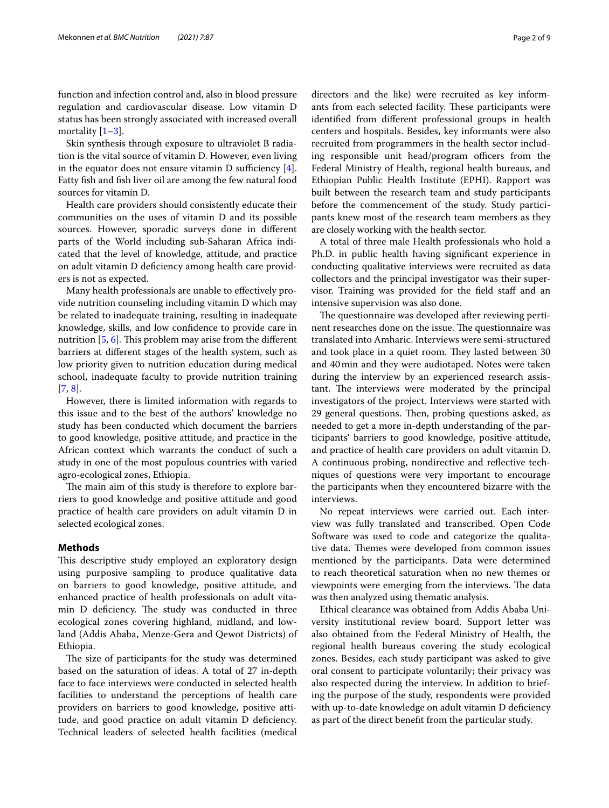function and infection control and, also in blood pressure regulation and cardiovascular disease. Low vitamin D status has been strongly associated with increased overall mortality  $[1-3]$  $[1-3]$  $[1-3]$ .

Skin synthesis through exposure to ultraviolet B radiation is the vital source of vitamin D. However, even living in the equator does not ensure vitamin D sufficiency  $[4]$  $[4]$ . Fatty fsh and fsh liver oil are among the few natural food sources for vitamin D.

Health care providers should consistently educate their communities on the uses of vitamin D and its possible sources. However, sporadic surveys done in diferent parts of the World including sub-Saharan Africa indicated that the level of knowledge, attitude, and practice on adult vitamin D defciency among health care providers is not as expected.

Many health professionals are unable to efectively provide nutrition counseling including vitamin D which may be related to inadequate training, resulting in inadequate knowledge, skills, and low confdence to provide care in nutrition  $[5, 6]$  $[5, 6]$  $[5, 6]$ . This problem may arise from the different barriers at diferent stages of the health system, such as low priority given to nutrition education during medical school, inadequate faculty to provide nutrition training [[7,](#page-8-5) [8](#page-8-6)].

However, there is limited information with regards to this issue and to the best of the authors' knowledge no study has been conducted which document the barriers to good knowledge, positive attitude, and practice in the African context which warrants the conduct of such a study in one of the most populous countries with varied agro-ecological zones, Ethiopia.

The main aim of this study is therefore to explore barriers to good knowledge and positive attitude and good practice of health care providers on adult vitamin D in selected ecological zones.

#### **Methods**

This descriptive study employed an exploratory design using purposive sampling to produce qualitative data on barriers to good knowledge, positive attitude, and enhanced practice of health professionals on adult vitamin D deficiency. The study was conducted in three ecological zones covering highland, midland, and lowland (Addis Ababa, Menze-Gera and Qewot Districts) of Ethiopia.

The size of participants for the study was determined based on the saturation of ideas. A total of 27 in-depth face to face interviews were conducted in selected health facilities to understand the perceptions of health care providers on barriers to good knowledge, positive attitude, and good practice on adult vitamin D defciency. Technical leaders of selected health facilities (medical directors and the like) were recruited as key informants from each selected facility. These participants were identifed from diferent professional groups in health centers and hospitals. Besides, key informants were also recruited from programmers in the health sector including responsible unit head/program officers from the Federal Ministry of Health, regional health bureaus, and Ethiopian Public Health Institute (EPHI). Rapport was built between the research team and study participants before the commencement of the study. Study participants knew most of the research team members as they are closely working with the health sector.

A total of three male Health professionals who hold a Ph.D. in public health having signifcant experience in conducting qualitative interviews were recruited as data collectors and the principal investigator was their supervisor. Training was provided for the field staff and an intensive supervision was also done.

The questionnaire was developed after reviewing pertinent researches done on the issue. The questionnaire was translated into Amharic. Interviews were semi-structured and took place in a quiet room. They lasted between 30 and 40min and they were audiotaped. Notes were taken during the interview by an experienced research assistant. The interviews were moderated by the principal investigators of the project. Interviews were started with 29 general questions. Then, probing questions asked, as needed to get a more in-depth understanding of the participants' barriers to good knowledge, positive attitude, and practice of health care providers on adult vitamin D. A continuous probing, nondirective and refective techniques of questions were very important to encourage the participants when they encountered bizarre with the interviews.

No repeat interviews were carried out. Each interview was fully translated and transcribed. Open Code Software was used to code and categorize the qualitative data. Themes were developed from common issues mentioned by the participants. Data were determined to reach theoretical saturation when no new themes or viewpoints were emerging from the interviews. The data was then analyzed using thematic analysis.

Ethical clearance was obtained from Addis Ababa University institutional review board. Support letter was also obtained from the Federal Ministry of Health, the regional health bureaus covering the study ecological zones. Besides, each study participant was asked to give oral consent to participate voluntarily; their privacy was also respected during the interview. In addition to briefing the purpose of the study, respondents were provided with up-to-date knowledge on adult vitamin D defciency as part of the direct beneft from the particular study.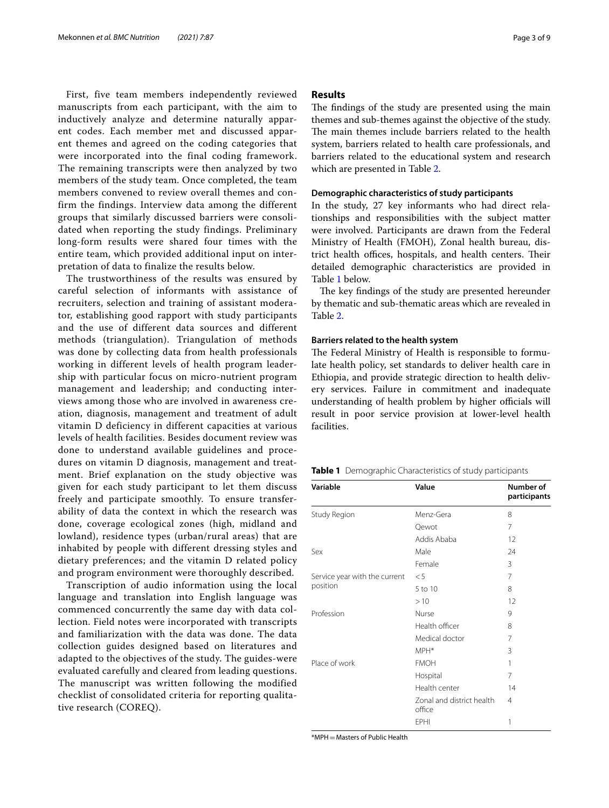First, five team members independently reviewed manuscripts from each participant, with the aim to inductively analyze and determine naturally apparent codes. Each member met and discussed apparent themes and agreed on the coding categories that were incorporated into the final coding framework. The remaining transcripts were then analyzed by two members of the study team. Once completed, the team members convened to review overall themes and confirm the findings. Interview data among the different groups that similarly discussed barriers were consolidated when reporting the study findings. Preliminary long-form results were shared four times with the entire team, which provided additional input on interpretation of data to finalize the results below.

The trustworthiness of the results was ensured by careful selection of informants with assistance of recruiters, selection and training of assistant moderator, establishing good rapport with study participants and the use of different data sources and different methods (triangulation). Triangulation of methods was done by collecting data from health professionals working in different levels of health program leadership with particular focus on micro-nutrient program management and leadership; and conducting interviews among those who are involved in awareness creation, diagnosis, management and treatment of adult vitamin D deficiency in different capacities at various levels of health facilities. Besides document review was done to understand available guidelines and procedures on vitamin D diagnosis, management and treatment. Brief explanation on the study objective was given for each study participant to let them discuss freely and participate smoothly. To ensure transferability of data the context in which the research was done, coverage ecological zones (high, midland and lowland), residence types (urban/rural areas) that are inhabited by people with different dressing styles and dietary preferences; and the vitamin D related policy and program environment were thoroughly described.

Transcription of audio information using the local language and translation into English language was commenced concurrently the same day with data collection. Field notes were incorporated with transcripts and familiarization with the data was done. The data collection guides designed based on literatures and adapted to the objectives of the study. The guides-were evaluated carefully and cleared from leading questions. The manuscript was written following the modified checklist of consolidated criteria for reporting qualitative research (COREQ).

#### **Results**

The findings of the study are presented using the main themes and sub-themes against the objective of the study. The main themes include barriers related to the health system, barriers related to health care professionals, and barriers related to the educational system and research which are presented in Table [2](#page-3-0).

#### **Demographic characteristics of study participants**

In the study, 27 key informants who had direct relationships and responsibilities with the subject matter were involved. Participants are drawn from the Federal Ministry of Health (FMOH), Zonal health bureau, district health offices, hospitals, and health centers. Their detailed demographic characteristics are provided in Table [1](#page-2-0) below.

The key findings of the study are presented hereunder by thematic and sub-thematic areas which are revealed in Table [2](#page-3-0).

#### **Barriers related to the health system**

The Federal Ministry of Health is responsible to formulate health policy, set standards to deliver health care in Ethiopia, and provide strategic direction to health delivery services. Failure in commitment and inadequate understanding of health problem by higher officials will result in poor service provision at lower-level health facilities.

<span id="page-2-0"></span>

|  |  |  | Table 1 Demographic Characteristics of study participants |  |  |
|--|--|--|-----------------------------------------------------------|--|--|
|--|--|--|-----------------------------------------------------------|--|--|

| Variable                      | Value                               | Number of<br>participants |
|-------------------------------|-------------------------------------|---------------------------|
| Study Region                  | Menz-Gera                           | 8                         |
|                               | Qewot                               | 7                         |
|                               | Addis Ababa                         | 12                        |
| Sex                           | Male                                | 24                        |
|                               | Female                              | 3                         |
| Service year with the current | $\leq 5$                            | 7                         |
| position                      | 5 to 10                             | 8                         |
|                               | >10                                 | 12                        |
| Profession                    | Nurse                               | 9                         |
|                               | Health officer                      | 8                         |
|                               | Medical doctor                      | 7                         |
|                               | MPH*                                | 3                         |
| Place of work                 | <b>FMOH</b>                         | 1                         |
|                               | Hospital                            | 7                         |
|                               | Health center                       | 14                        |
|                               | Zonal and district health<br>office | $\overline{4}$            |
|                               | <b>EPHI</b>                         | 1                         |

\*MPH=Masters of Public Health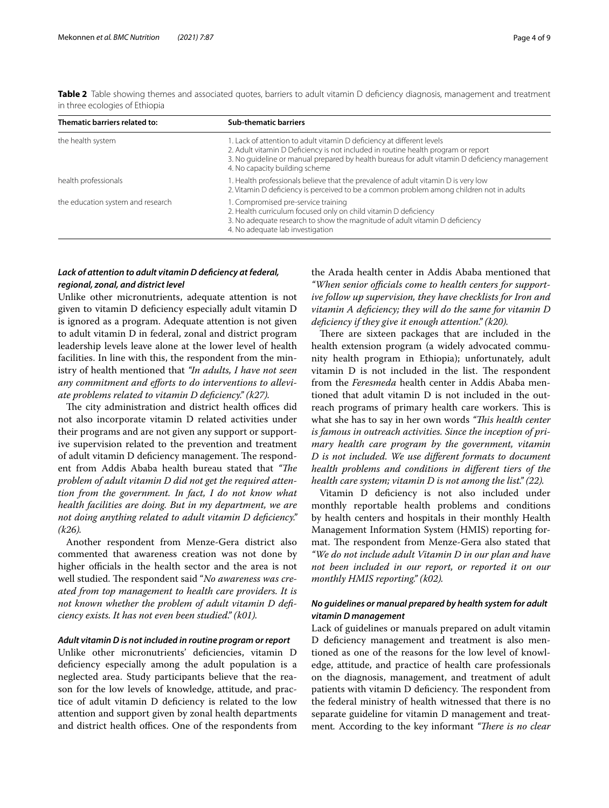| Thematic barriers related to:     | <b>Sub-thematic barriers</b>                                                                                                                                                                                                                                                                    |
|-----------------------------------|-------------------------------------------------------------------------------------------------------------------------------------------------------------------------------------------------------------------------------------------------------------------------------------------------|
| the health system                 | 1. Lack of attention to adult vitamin D deficiency at different levels<br>2. Adult vitamin D Deficiency is not included in routine health program or report<br>3. No quideline or manual prepared by health bureaus for adult vitamin D deficiency management<br>4. No capacity building scheme |
| health professionals              | 1. Health professionals believe that the prevalence of adult vitamin D is very low<br>2. Vitamin D deficiency is perceived to be a common problem among children not in adults                                                                                                                  |
| the education system and research | 1. Compromised pre-service training<br>2. Health curriculum focused only on child vitamin D deficiency<br>3. No adequate research to show the magnitude of adult vitamin D deficiency<br>4. No adequate lab investigation                                                                       |

<span id="page-3-0"></span>**Table 2** Table showing themes and associated quotes, barriers to adult vitamin D deficiency diagnosis, management and treatment in three ecologies of Ethiopia

#### *Lack of attention to adult vitamin D defciency at federal, regional, zonal, and district level*

Unlike other micronutrients, adequate attention is not given to vitamin D defciency especially adult vitamin D is ignored as a program. Adequate attention is not given to adult vitamin D in federal, zonal and district program leadership levels leave alone at the lower level of health facilities. In line with this, the respondent from the ministry of health mentioned that *"In adults, I have not seen*  any commitment and efforts to do interventions to allevi*ate problems related to vitamin D defciency." (k27).*

The city administration and district health offices did not also incorporate vitamin D related activities under their programs and are not given any support or supportive supervision related to the prevention and treatment of adult vitamin D deficiency management. The respondent from Addis Ababa health bureau stated that "The *problem of adult vitamin D did not get the required attention from the government. In fact, I do not know what health facilities are doing. But in my department, we are not doing anything related to adult vitamin D defciency." (k26).*

Another respondent from Menze-Gera district also commented that awareness creation was not done by higher officials in the health sector and the area is not well studied. The respondent said "No awareness was cre*ated from top management to health care providers. It is not known whether the problem of adult vitamin D defciency exists. It has not even been studied." (k01).*

#### *Adult vitamin D is not included in routine program or report*

Unlike other micronutrients' defciencies, vitamin D deficiency especially among the adult population is a neglected area. Study participants believe that the reason for the low levels of knowledge, attitude, and practice of adult vitamin D defciency is related to the low attention and support given by zonal health departments and district health offices. One of the respondents from the Arada health center in Addis Ababa mentioned that "When senior officials come to health centers for support*ive follow up supervision, they have checklists for Iron and vitamin A defciency; they will do the same for vitamin D defciency if they give it enough attention." (k20).*

There are sixteen packages that are included in the health extension program (a widely advocated community health program in Ethiopia); unfortunately, adult vitamin D is not included in the list. The respondent from the *Feresmeda* health center in Addis Ababa mentioned that adult vitamin D is not included in the outreach programs of primary health care workers. This is what she has to say in her own words "This health center *is famous in outreach activities. Since the inception of primary health care program by the government, vitamin D is not included. We use diferent formats to document health problems and conditions in diferent tiers of the health care system; vitamin D is not among the list." (22).*

Vitamin D defciency is not also included under monthly reportable health problems and conditions by health centers and hospitals in their monthly Health Management Information System (HMIS) reporting format. The respondent from Menze-Gera also stated that *"We do not include adult Vitamin D in our plan and have not been included in our report, or reported it on our monthly HMIS reporting." (k02).*

#### *No guidelines or manual prepared by health system for adult vitamin D management*

Lack of guidelines or manuals prepared on adult vitamin D deficiency management and treatment is also mentioned as one of the reasons for the low level of knowledge, attitude, and practice of health care professionals on the diagnosis, management, and treatment of adult patients with vitamin D deficiency. The respondent from the federal ministry of health witnessed that there is no separate guideline for vitamin D management and treatment. According to the key informant *"There is no clear*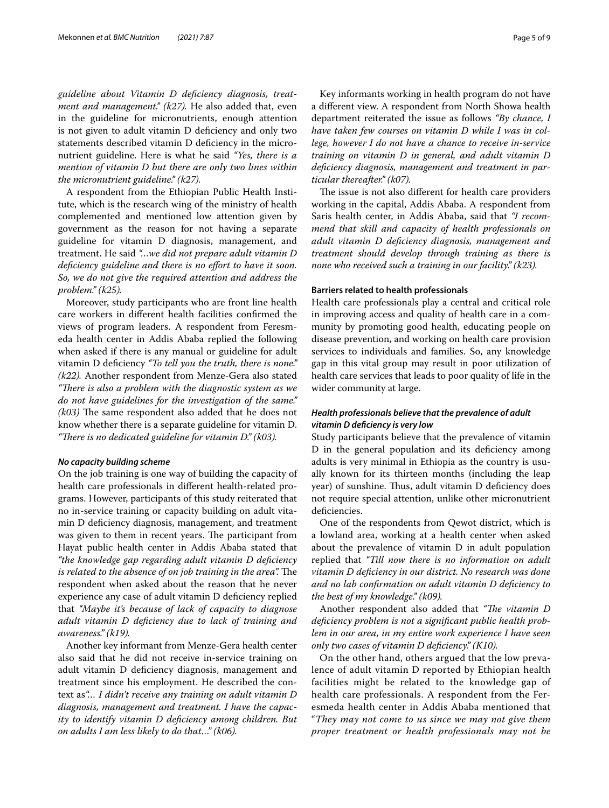*guideline about Vitamin D defciency diagnosis, treatment and management." (k27).* He also added that, even in the guideline for micronutrients, enough attention is not given to adult vitamin D defciency and only two statements described vitamin D defciency in the micronutrient guideline. Here is what he said *"Yes, there is a mention of vitamin D but there are only two lines within the micronutrient guideline." (k27).*

A respondent from the Ethiopian Public Health Institute, which is the research wing of the ministry of health complemented and mentioned low attention given by government as the reason for not having a separate guideline for vitamin D diagnosis, management, and treatment. He said *"…we did not prepare adult vitamin D defciency guideline and there is no efort to have it soon. So, we do not give the required attention and address the problem." (k25).*

Moreover, study participants who are front line health care workers in diferent health facilities confrmed the views of program leaders. A respondent from Feresmeda health center in Addis Ababa replied the following when asked if there is any manual or guideline for adult vitamin D defciency *"To tell you the truth, there is none." (k22).* Another respondent from Menze-Gera also stated "There is also a problem with the diagnostic system as we *do not have guidelines for the investigation of the same."*   $(k03)$  The same respondent also added that he does not know whether there is a separate guideline for vitamin D. *"There is no dedicated guideline for vitamin D." (k03).* 

#### *No capacity building scheme*

On the job training is one way of building the capacity of health care professionals in diferent health-related programs. However, participants of this study reiterated that no in-service training or capacity building on adult vitamin D defciency diagnosis, management, and treatment was given to them in recent years. The participant from Hayat public health center in Addis Ababa stated that *"the knowledge gap regarding adult vitamin D defciency is related to the absence of on job training in the area*. The respondent when asked about the reason that he never experience any case of adult vitamin D defciency replied that *"Maybe it's because of lack of capacity to diagnose adult vitamin D defciency due to lack of training and awareness." (k19).*

Another key informant from Menze-Gera health center also said that he did not receive in-service training on adult vitamin D defciency diagnosis, management and treatment since his employment. He described the context as*"… I didn't receive any training on adult vitamin D diagnosis, management and treatment. I have the capacity to identify vitamin D defciency among children. But on adults I am less likely to do that…" (k06).*

Key informants working in health program do not have a diferent view. A respondent from North Showa health department reiterated the issue as follows *"By chance, I have taken few courses on vitamin D while I was in college, however I do not have a chance to receive in-service training on vitamin D in general, and adult vitamin D defciency diagnosis, management and treatment in particular thereafter." (k07).*

The issue is not also different for health care providers working in the capital, Addis Ababa. A respondent from Saris health center, in Addis Ababa, said that *"I recommend that skill and capacity of health professionals on adult vitamin D defciency diagnosis, management and treatment should develop through training as there is none who received such a training in our facility." (k23).*

#### **Barriers related to health professionals**

Health care professionals play a central and critical role in improving access and quality of health care in a community by promoting good health, educating people on disease prevention, and working on health care provision services to individuals and families. So, any knowledge gap in this vital group may result in poor utilization of health care services that leads to poor quality of life in the wider community at large.

#### *Health professionals believe that the prevalence of adult vitamin D defciency is very low*

Study participants believe that the prevalence of vitamin D in the general population and its deficiency among adults is very minimal in Ethiopia as the country is usually known for its thirteen months (including the leap year) of sunshine. Thus, adult vitamin D deficiency does not require special attention, unlike other micronutrient deficiencies.

One of the respondents from Qewot district, which is a lowland area, working at a health center when asked about the prevalence of vitamin D in adult population replied that *"Till now there is no information on adult vitamin D defciency in our district. No research was done and no lab confrmation on adult vitamin D defciency to the best of my knowledge." (k09).*

Another respondent also added that "The vitamin D *defciency problem is not a signifcant public health problem in our area, in my entire work experience I have seen only two cases of vitamin D defciency." (K10).*

On the other hand, others argued that the low prevalence of adult vitamin D reported by Ethiopian health facilities might be related to the knowledge gap of health care professionals. A respondent from the Feresmeda health center in Addis Ababa mentioned that "*They may not come to us since we may not give them proper treatment or health professionals may not be*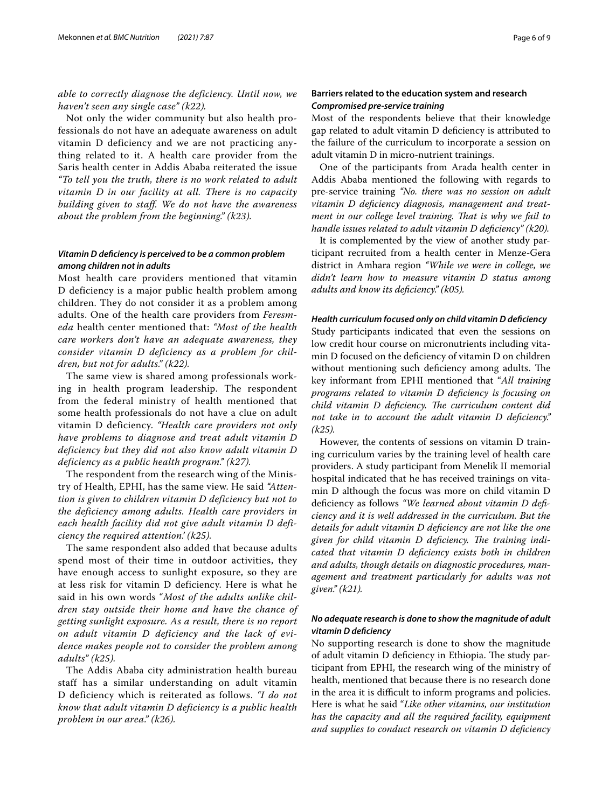*able to correctly diagnose the deficiency. Until now, we haven't seen any single case" (k22).*

Not only the wider community but also health professionals do not have an adequate awareness on adult vitamin D deficiency and we are not practicing anything related to it. A health care provider from the Saris health center in Addis Ababa reiterated the issue *"To tell you the truth, there is no work related to adult vitamin D in our facility at all. There is no capacity building given to staff. We do not have the awareness about the problem from the beginning." (k23).*

#### *Vitamin D defciency is perceived to be a common problem among children not in adults*

Most health care providers mentioned that vitamin D deficiency is a major public health problem among children. They do not consider it as a problem among adults. One of the health care providers from *Feresmeda* health center mentioned that: *"Most of the health care workers don't have an adequate awareness, they consider vitamin D deficiency as a problem for children, but not for adults." (k22).*

The same view is shared among professionals working in health program leadership. The respondent from the federal ministry of health mentioned that some health professionals do not have a clue on adult vitamin D deficiency. *"Health care providers not only have problems to diagnose and treat adult vitamin D deficiency but they did not also know adult vitamin D deficiency as a public health program." (k27).*

The respondent from the research wing of the Ministry of Health, EPHI, has the same view. He said *"Attention is given to children vitamin D deficiency but not to the deficiency among adults. Health care providers in each health facility did not give adult vitamin D deficiency the required attention.' (k25).*

The same respondent also added that because adults spend most of their time in outdoor activities, they have enough access to sunlight exposure, so they are at less risk for vitamin D deficiency. Here is what he said in his own words "*Most of the adults unlike children stay outside their home and have the chance of getting sunlight exposure. As a result, there is no report on adult vitamin D deficiency and the lack of evidence makes people not to consider the problem among adults" (k25).*

The Addis Ababa city administration health bureau staff has a similar understanding on adult vitamin D deficiency which is reiterated as follows. *"I do not know that adult vitamin D deficiency is a public health problem in our area." (k26).*

#### **Barriers related to the education system and research** *Compromised pre‑service training*

Most of the respondents believe that their knowledge gap related to adult vitamin D defciency is attributed to the failure of the curriculum to incorporate a session on adult vitamin D in micro-nutrient trainings.

One of the participants from Arada health center in Addis Ababa mentioned the following with regards to pre-service training *"No. there was no session on adult vitamin D defciency diagnosis, management and treatment in our college level training. That is why we fail to handle issues related to adult vitamin D defciency" (k20).*

It is complemented by the view of another study participant recruited from a health center in Menze-Gera district in Amhara region *"While we were in college, we didn't learn how to measure vitamin D status among adults and know its defciency." (k05).*

#### *Health curriculum focused only on child vitamin D defciency*

Study participants indicated that even the sessions on low credit hour course on micronutrients including vitamin D focused on the defciency of vitamin D on children without mentioning such deficiency among adults. The key informant from EPHI mentioned that "*All training programs related to vitamin D defciency is focusing on*  child vitamin D deficiency. The curriculum content did *not take in to account the adult vitamin D defciency." (k25).*

However, the contents of sessions on vitamin D training curriculum varies by the training level of health care providers. A study participant from Menelik II memorial hospital indicated that he has received trainings on vitamin D although the focus was more on child vitamin D defciency as follows *"We learned about vitamin D defciency and it is well addressed in the curriculum. But the details for adult vitamin D defciency are not like the one*  given for child vitamin D deficiency. The training indi*cated that vitamin D defciency exists both in children and adults, though details on diagnostic procedures, management and treatment particularly for adults was not given." (k21).*

#### *No adequate research is done to show the magnitude of adult vitamin D defciency*

No supporting research is done to show the magnitude of adult vitamin D deficiency in Ethiopia. The study participant from EPHI, the research wing of the ministry of health, mentioned that because there is no research done in the area it is difficult to inform programs and policies. Here is what he said "*Like other vitamins, our institution has the capacity and all the required facility, equipment and supplies to conduct research on vitamin D defciency*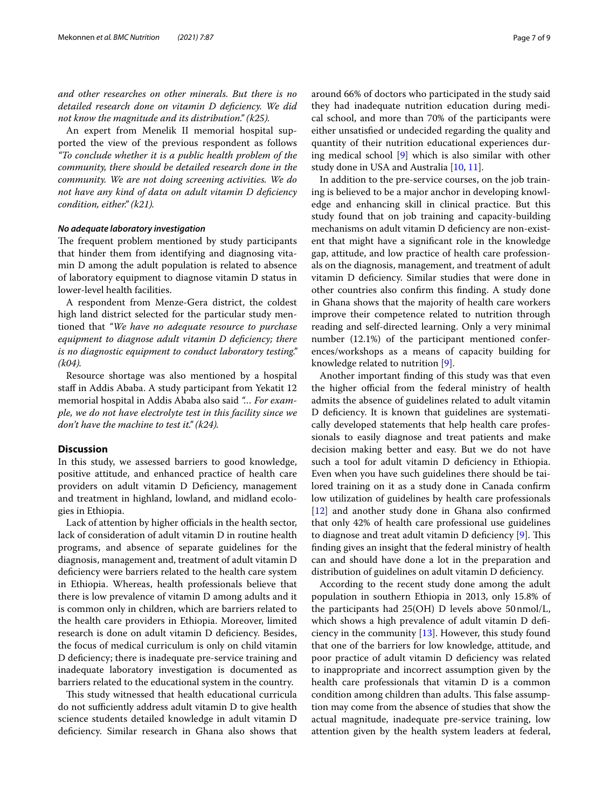*and other researches on other minerals. But there is no detailed research done on vitamin D defciency. We did not know the magnitude and its distribution." (k25).*

An expert from Menelik II memorial hospital supported the view of the previous respondent as follows *"To conclude whether it is a public health problem of the community, there should be detailed research done in the community. We are not doing screening activities. We do not have any kind of data on adult vitamin D defciency condition, either." (k21).*

#### *No adequate laboratory investigation*

The frequent problem mentioned by study participants that hinder them from identifying and diagnosing vitamin D among the adult population is related to absence of laboratory equipment to diagnose vitamin D status in lower-level health facilities.

A respondent from Menze-Gera district, the coldest high land district selected for the particular study mentioned that *"We have no adequate resource to purchase equipment to diagnose adult vitamin D defciency; there is no diagnostic equipment to conduct laboratory testing." (k04).*

Resource shortage was also mentioned by a hospital staff in Addis Ababa. A study participant from Yekatit 12 memorial hospital in Addis Ababa also said *"… For example, we do not have electrolyte test in this facility since we don't have the machine to test it." (k24).*

#### **Discussion**

In this study, we assessed barriers to good knowledge, positive attitude, and enhanced practice of health care providers on adult vitamin D Defciency, management and treatment in highland, lowland, and midland ecologies in Ethiopia.

Lack of attention by higher officials in the health sector, lack of consideration of adult vitamin D in routine health programs, and absence of separate guidelines for the diagnosis, management and, treatment of adult vitamin D defciency were barriers related to the health care system in Ethiopia. Whereas, health professionals believe that there is low prevalence of vitamin D among adults and it is common only in children, which are barriers related to the health care providers in Ethiopia. Moreover, limited research is done on adult vitamin D defciency. Besides, the focus of medical curriculum is only on child vitamin D defciency; there is inadequate pre-service training and inadequate laboratory investigation is documented as barriers related to the educational system in the country.

This study witnessed that health educational curricula do not sufficiently address adult vitamin D to give health science students detailed knowledge in adult vitamin D defciency. Similar research in Ghana also shows that

around 66% of doctors who participated in the study said they had inadequate nutrition education during medical school, and more than 70% of the participants were either unsatisfed or undecided regarding the quality and quantity of their nutrition educational experiences during medical school [\[9](#page-8-7)] which is also similar with other study done in USA and Australia [[10](#page-8-8), [11\]](#page-8-9).

In addition to the pre-service courses, on the job training is believed to be a major anchor in developing knowledge and enhancing skill in clinical practice. But this study found that on job training and capacity-building mechanisms on adult vitamin D deficiency are non-existent that might have a signifcant role in the knowledge gap, attitude, and low practice of health care professionals on the diagnosis, management, and treatment of adult vitamin D defciency. Similar studies that were done in other countries also confrm this fnding. A study done in Ghana shows that the majority of health care workers improve their competence related to nutrition through reading and self-directed learning. Only a very minimal number (12.1%) of the participant mentioned conferences/workshops as a means of capacity building for knowledge related to nutrition [[9](#page-8-7)].

Another important fnding of this study was that even the higher official from the federal ministry of health admits the absence of guidelines related to adult vitamin D deficiency. It is known that guidelines are systematically developed statements that help health care professionals to easily diagnose and treat patients and make decision making better and easy. But we do not have such a tool for adult vitamin D defciency in Ethiopia. Even when you have such guidelines there should be tailored training on it as a study done in Canada confrm low utilization of guidelines by health care professionals [[12\]](#page-8-10) and another study done in Ghana also confrmed that only 42% of health care professional use guidelines to diagnose and treat adult vitamin  $D$  deficiency  $[9]$  $[9]$ . This fnding gives an insight that the federal ministry of health can and should have done a lot in the preparation and distribution of guidelines on adult vitamin D defciency.

According to the recent study done among the adult population in southern Ethiopia in 2013, only 15.8% of the participants had 25(OH) D levels above 50nmol/L, which shows a high prevalence of adult vitamin D deficiency in the community [[13\]](#page-8-11). However, this study found that one of the barriers for low knowledge, attitude, and poor practice of adult vitamin D defciency was related to inappropriate and incorrect assumption given by the health care professionals that vitamin D is a common condition among children than adults. This false assumption may come from the absence of studies that show the actual magnitude, inadequate pre-service training, low attention given by the health system leaders at federal,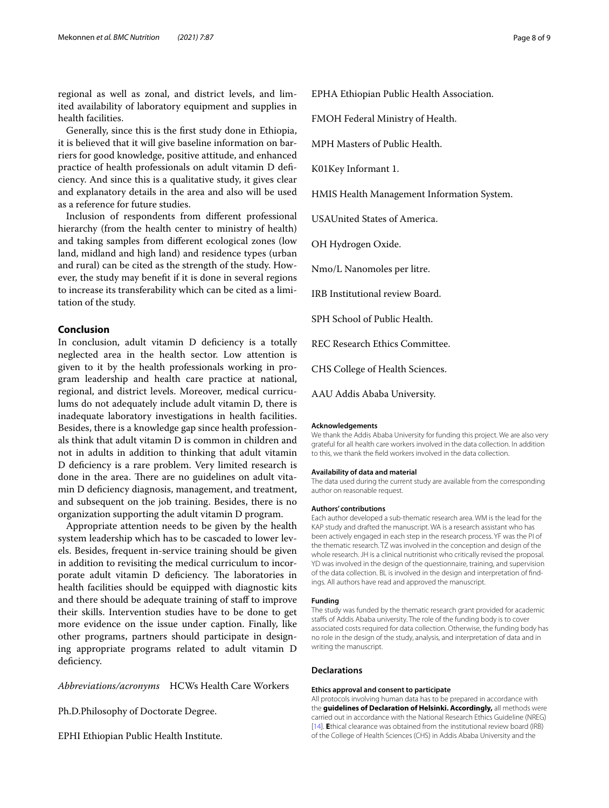regional as well as zonal, and district levels, and limited availability of laboratory equipment and supplies in health facilities.

Generally, since this is the frst study done in Ethiopia, it is believed that it will give baseline information on barriers for good knowledge, positive attitude, and enhanced practice of health professionals on adult vitamin D defciency. And since this is a qualitative study, it gives clear and explanatory details in the area and also will be used as a reference for future studies.

Inclusion of respondents from diferent professional hierarchy (from the health center to ministry of health) and taking samples from diferent ecological zones (low land, midland and high land) and residence types (urban and rural) can be cited as the strength of the study. However, the study may beneft if it is done in several regions to increase its transferability which can be cited as a limitation of the study.

#### **Conclusion**

In conclusion, adult vitamin D deficiency is a totally neglected area in the health sector. Low attention is given to it by the health professionals working in program leadership and health care practice at national, regional, and district levels. Moreover, medical curriculums do not adequately include adult vitamin D, there is inadequate laboratory investigations in health facilities. Besides, there is a knowledge gap since health professionals think that adult vitamin D is common in children and not in adults in addition to thinking that adult vitamin D deficiency is a rare problem. Very limited research is done in the area. There are no guidelines on adult vitamin D defciency diagnosis, management, and treatment, and subsequent on the job training. Besides, there is no organization supporting the adult vitamin D program.

Appropriate attention needs to be given by the health system leadership which has to be cascaded to lower levels. Besides, frequent in-service training should be given in addition to revisiting the medical curriculum to incorporate adult vitamin D deficiency. The laboratories in health facilities should be equipped with diagnostic kits and there should be adequate training of staf to improve their skills. Intervention studies have to be done to get more evidence on the issue under caption. Finally, like other programs, partners should participate in designing appropriate programs related to adult vitamin D deficiency.

*Abbreviations/acronyms* HCWs Health Care Workers

Ph.D.Philosophy of Doctorate Degree.

EPHI Ethiopian Public Health Institute.

EPHA Ethiopian Public Health Association.

FMOH Federal Ministry of Health.

MPH Masters of Public Health.

K01Key Informant 1.

HMIS Health Management Information System.

USAUnited States of America.

OH Hydrogen Oxide.

Nmo/L Nanomoles per litre.

IRB Institutional review Board.

SPH School of Public Health.

REC Research Ethics Committee.

CHS College of Health Sciences.

AAU Addis Ababa University.

#### **Acknowledgements**

We thank the Addis Ababa University for funding this project. We are also very grateful for all health care workers involved in the data collection. In addition to this, we thank the feld workers involved in the data collection.

#### **Availability of data and material**

The data used during the current study are available from the corresponding author on reasonable request.

#### **Authors' contributions**

Each author developed a sub-thematic research area. WM is the lead for the KAP study and drafted the manuscript. WA is a research assistant who has been actively engaged in each step in the research process. YF was the PI of the thematic research. TZ was involved in the conception and design of the whole research. JH is a clinical nutritionist who critically revised the proposal. YD was involved in the design of the questionnaire, training, and supervision of the data collection. BL is involved in the design and interpretation of fndings. All authors have read and approved the manuscript.

#### **Funding**

The study was funded by the thematic research grant provided for academic stafs of Addis Ababa university. The role of the funding body is to cover associated costs required for data collection. Otherwise, the funding body has no role in the design of the study, analysis, and interpretation of data and in writing the manuscript.

#### **Declarations**

#### **Ethics approval and consent to participate**

All protocols involving human data has to be prepared in accordance with the **guidelines of Declaration of Helsinki. Accordingly,** all methods were carried out in accordance with the National Research Ethics Guideline (NREG) [[14](#page-8-12)]. **E**thical clearance was obtained from the institutional review board (IRB) of the College of Health Sciences (CHS) in Addis Ababa University and the